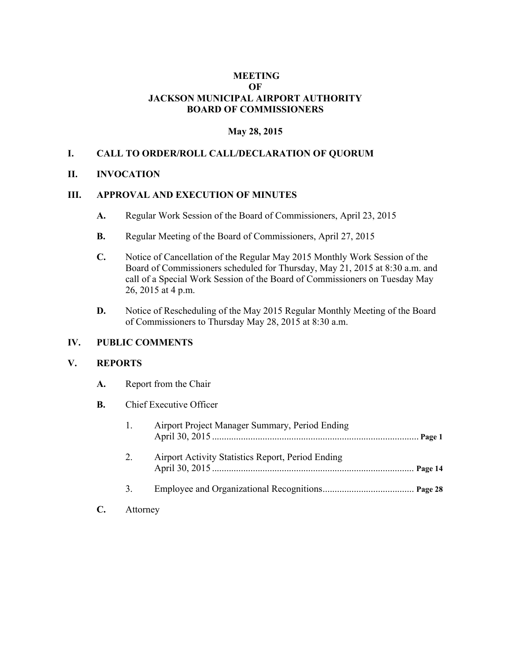# **MEETING OF JACKSON MUNICIPAL AIRPORT AUTHORITY BOARD OF COMMISSIONERS**

## **May 28, 2015**

# **I. CALL TO ORDER/ROLL CALL/DECLARATION OF QUORUM**

### **II. INVOCATION**

### **III. APPROVAL AND EXECUTION OF MINUTES**

- **A.** Regular Work Session of the Board of Commissioners, April 23, 2015
- **B.** Regular Meeting of the Board of Commissioners, April 27, 2015
- **C.** Notice of Cancellation of the Regular May 2015 Monthly Work Session of the Board of Commissioners scheduled for Thursday, May 21, 2015 at 8:30 a.m. and call of a Special Work Session of the Board of Commissioners on Tuesday May 26, 2015 at 4 p.m.
- **D.** Notice of Rescheduling of the May 2015 Regular Monthly Meeting of the Board of Commissioners to Thursday May 28, 2015 at 8:30 a.m.

#### **IV. PUBLIC COMMENTS**

#### **V. REPORTS**

- **A.** Report from the Chair
- **B.** Chief Executive Officer

| 1. | Airport Project Manager Summary, Period Ending    |
|----|---------------------------------------------------|
| 2. | Airport Activity Statistics Report, Period Ending |
| 3. |                                                   |
|    |                                                   |

**C.** Attorney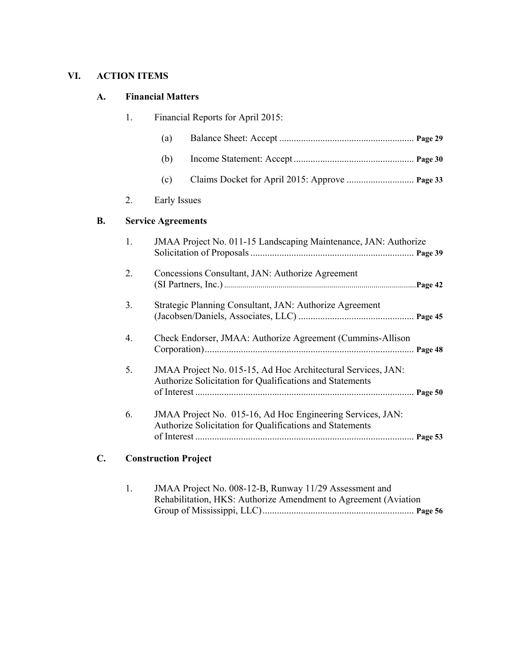# **VI. ACTION ITEMS**

# **A. Financial Matters**

|    | 1.               | Financial Reports for April 2015:                                                                                        |
|----|------------------|--------------------------------------------------------------------------------------------------------------------------|
|    |                  | (a)                                                                                                                      |
|    |                  | (b)                                                                                                                      |
|    |                  | (c)                                                                                                                      |
|    | 2.               | Early Issues                                                                                                             |
| B. |                  | <b>Service Agreements</b>                                                                                                |
|    | 1.               | JMAA Project No. 011-15 Landscaping Maintenance, JAN: Authorize                                                          |
|    | 2.               | Concessions Consultant, JAN: Authorize Agreement                                                                         |
|    | 3.               | Strategic Planning Consultant, JAN: Authorize Agreement                                                                  |
|    | $\overline{4}$ . | Check Endorser, JMAA: Authorize Agreement (Cummins-Allison                                                               |
|    | 5.               | JMAA Project No. 015-15, Ad Hoc Architectural Services, JAN:<br>Authorize Solicitation for Qualifications and Statements |
|    | 6.               | JMAA Project No. 015-16, Ad Hoc Engineering Services, JAN:<br>Authorize Solicitation for Qualifications and Statements   |

# **C. Construction Project**

| JMAA Project No. 008-12-B, Runway 11/29 Assessment and          |  |
|-----------------------------------------------------------------|--|
| Rehabilitation, HKS: Authorize Amendment to Agreement (Aviation |  |
|                                                                 |  |